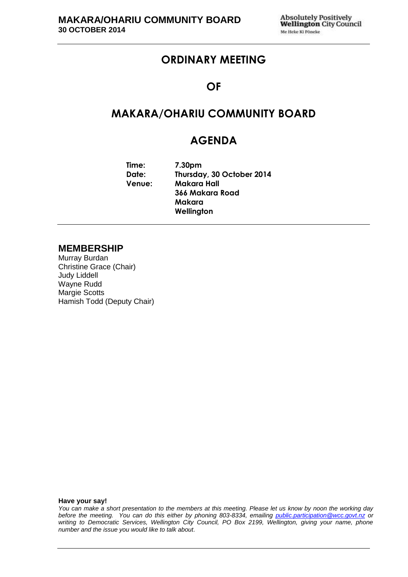## **ORDINARY MEETING**

### **OF**

## **MAKARA/OHARIU COMMUNITY BOARD**

## **AGENDA**

**Time: 7.30pm Date: Thursday, 30 October 2014 Venue: Makara Hall 366 Makara Road Makara Wellington**

#### **MEMBERSHIP**

Murray Burdan Christine Grace (Chair) Judy Liddell Wayne Rudd Margie Scotts Hamish Todd (Deputy Chair)

**Have your say!**

*You can make a short presentation to the members at this meeting. Please let us know by noon the working day before the meeting. You can do this either by phoning 803-8334, emailing public.participation@wcc.govt.nz or writing to Democratic Services, Wellington City Council, PO Box 2199, Wellington, giving your name, phone number and the issue you would like to talk about.*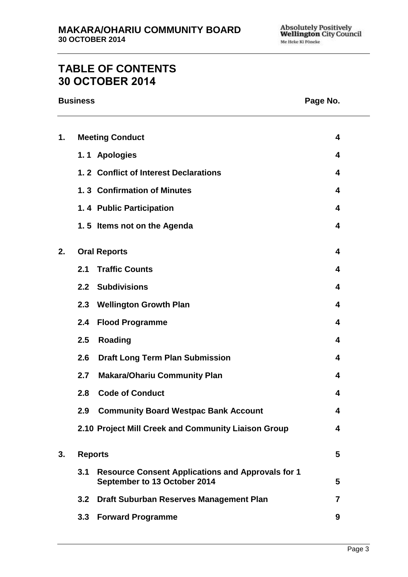# **TABLE OF CONTENTS 30 OCTOBER 2014**

#### **Business Page No.**

| 1. |                     | <b>Meeting Conduct</b>                                                                   | 4 |
|----|---------------------|------------------------------------------------------------------------------------------|---|
|    |                     | 1.1 Apologies                                                                            | 4 |
|    |                     | 1.2 Conflict of Interest Declarations                                                    | 4 |
|    |                     | 1.3 Confirmation of Minutes                                                              | 4 |
|    |                     | 1.4 Public Participation                                                                 | 4 |
|    |                     | 1.5 Items not on the Agenda                                                              | 4 |
| 2. | <b>Oral Reports</b> |                                                                                          | 4 |
|    | 2.1                 | <b>Traffic Counts</b>                                                                    | 4 |
|    | 2.2                 | <b>Subdivisions</b>                                                                      | 4 |
|    | 2.3                 | <b>Wellington Growth Plan</b>                                                            | 4 |
|    | 2.4                 | <b>Flood Programme</b>                                                                   | 4 |
|    | 2.5                 | <b>Roading</b>                                                                           | 4 |
|    | 2.6                 | <b>Draft Long Term Plan Submission</b>                                                   | 4 |
|    | 2.7                 | <b>Makara/Ohariu Community Plan</b>                                                      | 4 |
|    | 2.8                 | <b>Code of Conduct</b>                                                                   | 4 |
|    | 2.9                 | <b>Community Board Westpac Bank Account</b>                                              | 4 |
|    |                     | 2.10 Project Mill Creek and Community Liaison Group                                      | A |
| 3. | <b>Reports</b>      |                                                                                          |   |
|    | 3.1                 | <b>Resource Consent Applications and Approvals for 1</b><br>September to 13 October 2014 | 5 |
|    | 3.2                 | Draft Suburban Reserves Management Plan                                                  | 7 |
|    | 3.3                 | <b>Forward Programme</b>                                                                 | 9 |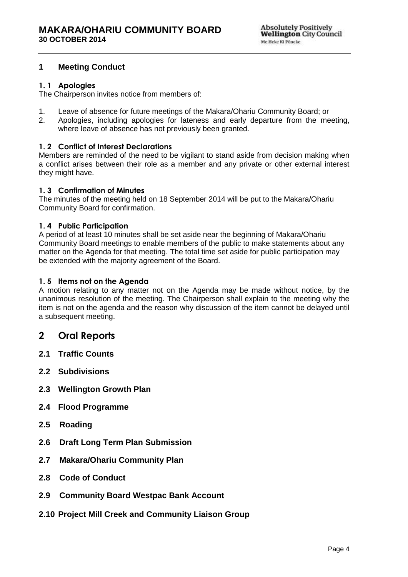#### <span id="page-3-0"></span>**1 Meeting Conduct**

#### <span id="page-3-1"></span>**1. 1 Apologies**

The Chairperson invites notice from members of:

- 1. Leave of absence for future meetings of the Makara/Ohariu Community Board; or
- 2. Apologies, including apologies for lateness and early departure from the meeting, where leave of absence has not previously been granted.

#### <span id="page-3-2"></span>**1. 2 Conflict of Interest Declarations**

Members are reminded of the need to be vigilant to stand aside from decision making when a conflict arises between their role as a member and any private or other external interest they might have.

#### <span id="page-3-3"></span>**1. 3 Confirmation of Minutes**

The minutes of the meeting held on 18 September 2014 will be put to the Makara/Ohariu Community Board for confirmation.

#### <span id="page-3-4"></span>**1. 4 Public Participation**

A period of at least 10 minutes shall be set aside near the beginning of Makara/Ohariu Community Board meetings to enable members of the public to make statements about any matter on the Agenda for that meeting. The total time set aside for public participation may be extended with the majority agreement of the Board.

#### <span id="page-3-5"></span>**1. 5 Items not on the Agenda**

A motion relating to any matter not on the Agenda may be made without notice, by the unanimous resolution of the meeting. The Chairperson shall explain to the meeting why the item is not on the agenda and the reason why discussion of the item cannot be delayed until a subsequent meeting.

#### <span id="page-3-6"></span>**2 Oral Reports**

- **2.1 Traffic Counts**
- **2.2 Subdivisions**
- **2.3 Wellington Growth Plan**
- **2.4 Flood Programme**
- **2.5 Roading**
- **2.6 Draft Long Term Plan Submission**
- **2.7 Makara/Ohariu Community Plan**
- **2.8 Code of Conduct**
- **2.9 Community Board Westpac Bank Account**
- **2.10 Project Mill Creek and Community Liaison Group**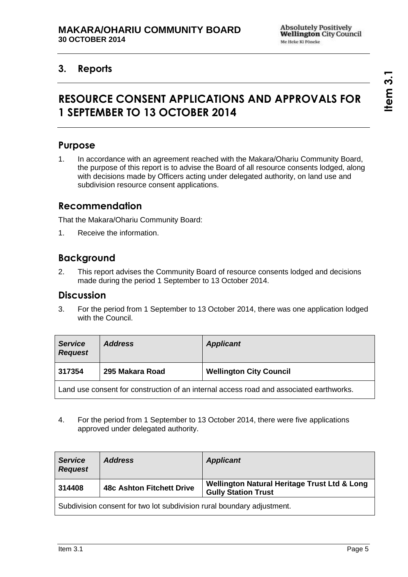## **3. Reports**

# **RESOURCE CONSENT APPLICATIONS AND APPROVALS FOR 1 SEPTEMBER TO 13 OCTOBER 2014**

## **Purpose**

1. In accordance with an agreement reached with the Makara/Ohariu Community Board, the purpose of this report is to advise the Board of all resource consents lodged, along with decisions made by Officers acting under delegated authority, on land use and subdivision resource consent applications.

## **Recommendation**

That the Makara/Ohariu Community Board:

1. Receive the information.

## **Background**

2. This report advises the Community Board of resource consents lodged and decisions made during the period 1 September to 13 October 2014.

#### **Discussion**

3. For the period from 1 September to 13 October 2014, there was one application lodged with the Council.

| <b>Service</b><br><b>Request</b>                                                        | <b>Address</b>  | <b>Applicant</b>               |
|-----------------------------------------------------------------------------------------|-----------------|--------------------------------|
| 317354                                                                                  | 295 Makara Road | <b>Wellington City Council</b> |
| Land use consent for construction of an internal access road and associated earthworks. |                 |                                |

4. For the period from 1 September to 13 October 2014, there were five applications approved under delegated authority.

| <b>Service</b><br><b>Request</b> | <b>Address</b>                                                         | <b>Applicant</b>                                                           |
|----------------------------------|------------------------------------------------------------------------|----------------------------------------------------------------------------|
| 314408                           | <b>48c Ashton Fitchett Drive</b>                                       | Wellington Natural Heritage Trust Ltd & Long<br><b>Gully Station Trust</b> |
|                                  | Subdivision consent for two lot subdivision rural boundary adjustment. |                                                                            |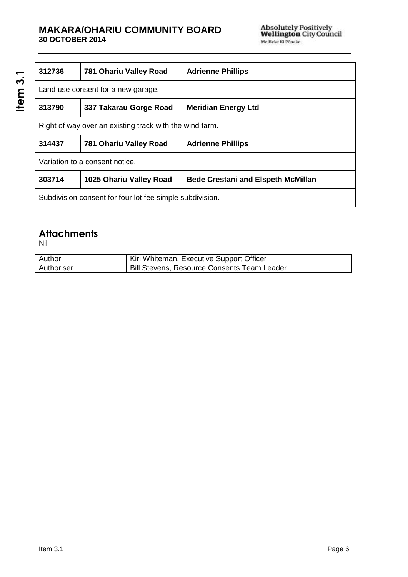#### **MAKARA/OHARIU COMMUNITY BOARD 30 OCTOBER 2014**

| 312736                                                   | 781 Ohariu Valley Road  | <b>Adrienne Phillips</b>                  |
|----------------------------------------------------------|-------------------------|-------------------------------------------|
| Land use consent for a new garage.                       |                         |                                           |
| 313790                                                   | 337 Takarau Gorge Road  | <b>Meridian Energy Ltd</b>                |
| Right of way over an existing track with the wind farm.  |                         |                                           |
| 314437                                                   | 781 Ohariu Valley Road  | <b>Adrienne Phillips</b>                  |
| Variation to a consent notice.                           |                         |                                           |
| 303714                                                   | 1025 Ohariu Valley Road | <b>Bede Crestani and Elspeth McMillan</b> |
| Subdivision consent for four lot fee simple subdivision. |                         |                                           |

## **Attachments**

Nil

**Item 3.1**

| Author     | Kiri Whiteman, Executive Support Officer           |
|------------|----------------------------------------------------|
| Authoriser | <b>Bill Stevens, Resource Consents Team Leader</b> |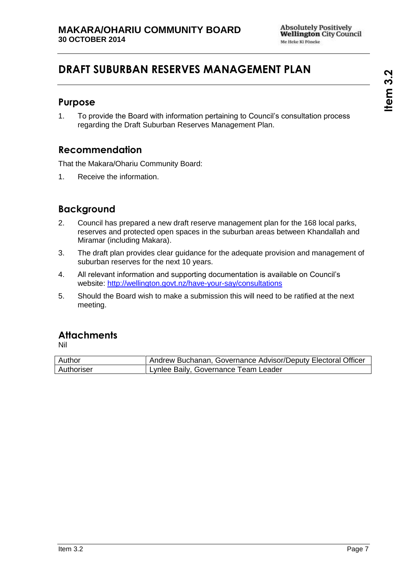# **DRAFT SUBURBAN RESERVES MANAGEMENT PLAN**

#### **Purpose**

1. To provide the Board with information pertaining to Council's consultation process regarding the Draft Suburban Reserves Management Plan.

## **Recommendation**

That the Makara/Ohariu Community Board:

1. Receive the information.

## **Background**

- 2. Council has prepared a new draft reserve management plan for the 168 local parks, reserves and protected open spaces in the suburban areas between Khandallah and Miramar (including Makara).
- 3. The draft plan provides clear guidance for the adequate provision and management of suburban reserves for the next 10 years.
- 4. All relevant information and supporting documentation is available on Council's website:<http://wellington.govt.nz/have-your-say/consultations>
- 5. Should the Board wish to make a submission this will need to be ratified at the next meeting.

## **Attachments**

Nil

| Author     | Andrew Buchanan, Governance Advisor/Deputy Electoral Officer |
|------------|--------------------------------------------------------------|
| Authoriser | Lynlee Baily, Governance Team Leader                         |